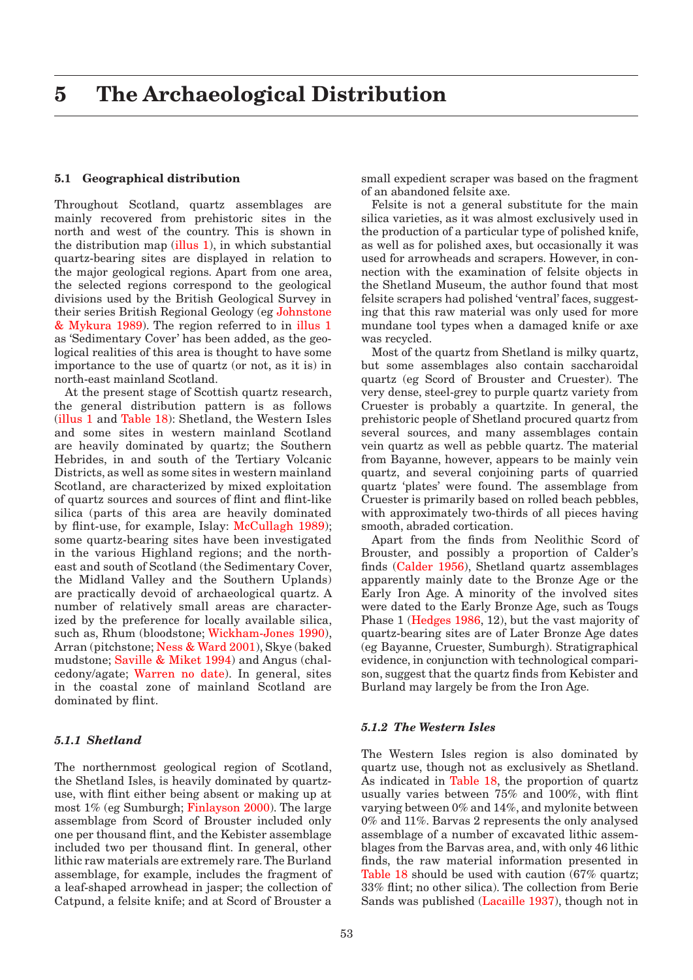### <span id="page-0-0"></span>**5.1 Geographical distribution**

Throughout Scotland, quartz assemblages are mainly recovered from prehistoric sites in the north and west of the country. This is shown in the distribution map  $(illus 1)$ , in which substantial quartz-bearing sites are displayed in relation to the major geological regions. Apart from one area, the selected regions correspond to the geological divisions used by the British Geological Survey in their series British Regional Geology [\(eg Johnstone](#page-4-0)  [& Mykura 1989\).](#page-4-0) The region referred to in [illus 1](#page-4-0) as 'Sedimentary Cover' has been added, as the geological realities of this area is thought to have some importance to the use of quartz (or not, as it is) in north-east mainland Scotland.

At the present stage of Scottish quartz research, the general distribution pattern is as follows [\(illus 1 a](#page-4-0)n[d Table 18\):](#page-1-0) Shetland, the Western Isles and some sites in western mainland Scotland are heavily dominated by quartz; the Southern Hebrides, in and south of the Tertiary Volcanic Districts, as well as some sites in western mainland Scotland, are characterized by mixed exploitation of quartz sources and sources of flint and flint-like silica (parts of this area are heavily dominated by flint-use, for example, Islay[: McCullagh 1989\);](#page-5-0)  some quartz-bearing sites have been investigated in the various Highland regions; and the northeast and south of Scotland (the Sedimentary Cover, the Midland Valley and the Southern Uplands) are practically devoid of archaeological quartz. A number of relatively small areas are characterized by the preference for locally available silica, such as, Rhum (bloodston[e; Wickham-Jones 1990\),](#page-7-0)  Arran (pitchstone[; Ness & Ward 2001\), S](#page-5-0)kye (baked mudston[e; Saville & Miket 1994\) a](#page-6-0)nd Angus (chalcedony/agate; [Warren no date\). In](#page-7-0) general, sites in the coastal zone of mainland Scotland are dominated by flint.

### *5.1.1 Shetland*

The northernmost geological region of Scotland, the Shetland Isles, is heavily dominated by quartzuse, with flint either being absent or making up at most 1% (eg Sumburg[h; Finlayson 2000\).](#page-3-0) The large assemblage from Scord of Brouster included only one per thousand flint, and the Kebister assemblage included two per thousand flint. In general, other lithic raw materials are extremely rare. The Burland assemblage, for example, includes the fragment of a leaf-shaped arrowhead in jasper; the collection of Catpund, a felsite knife; and at Scord of Brouster a

small expedient scraper was based on the fragment of an abandoned felsite axe.

Felsite is not a general substitute for the main silica varieties, as it was almost exclusively used in the production of a particular type of polished knife, as well as for polished axes, but occasionally it was used for arrowheads and scrapers. However, in connection with the examination of felsite objects in the Shetland Museum, the author found that most felsite scrapers had polished 'ventral' faces, suggesting that this raw material was only used for more mundane tool types when a damaged knife or axe was recycled.

Most of the quartz from Shetland is milky quartz, but some assemblages also contain saccharoidal quartz (eg Scord of Brouster and Cruester). The very dense, steel-grey to purple quartz variety from Cruester is probably a quartzite. In general, the prehistoric people of Shetland procured quartz from several sources, and many assemblages contain vein quartz as well as pebble quartz. The material from Bayanne, however, appears to be mainly vein quartz, and several conjoining parts of quarried quartz 'plates' were found. The assemblage from Cruester is primarily based on rolled beach pebbles, with approximately two-thirds of all pieces having smooth, abraded cortication.

Apart from the finds from Neolithic Scord of Brouster, and possibly a proportion of Calder's finds [\(Calder 1956\),](#page-2-0) Shetland quartz assemblages apparently mainly date to the Bronze Age or the Early Iron Age. A minority of the involved sites were dated to the Early Bronze Age, such as Tougs Phase [1 \(Hedges 1986, 1](#page-4-0)2), but the vast majority of quartz-bearing sites are of Later Bronze Age dates (eg Bayanne, Cruester, Sumburgh). Stratigraphical evidence, in conjunction with technological comparison, suggest that the quartz finds from Kebister and Burland may largely be from the Iron Age.

### *5.1.2 The Western Isles*

The Western Isles region is also dominated by quartz use, though not as exclusively as Shetland. As indicated i[n Table 18,](#page-1-0) the proportion of quartz usually varies between 75% and 100%, with flint varying between 0% and 14%, and mylonite between 0% and 11%. Barvas 2 represents the only analysed assemblage of a number of excavated lithic assemblages from the Barvas area, and, with only 46 lithic finds, the raw material information presented in [Table 18 sh](#page-1-0)ould be used with caution (67% quartz; 33% flint; no other silica). The collection from Berie Sands was publish[ed \(Lacaille 1937\), t](#page-4-0)hough not in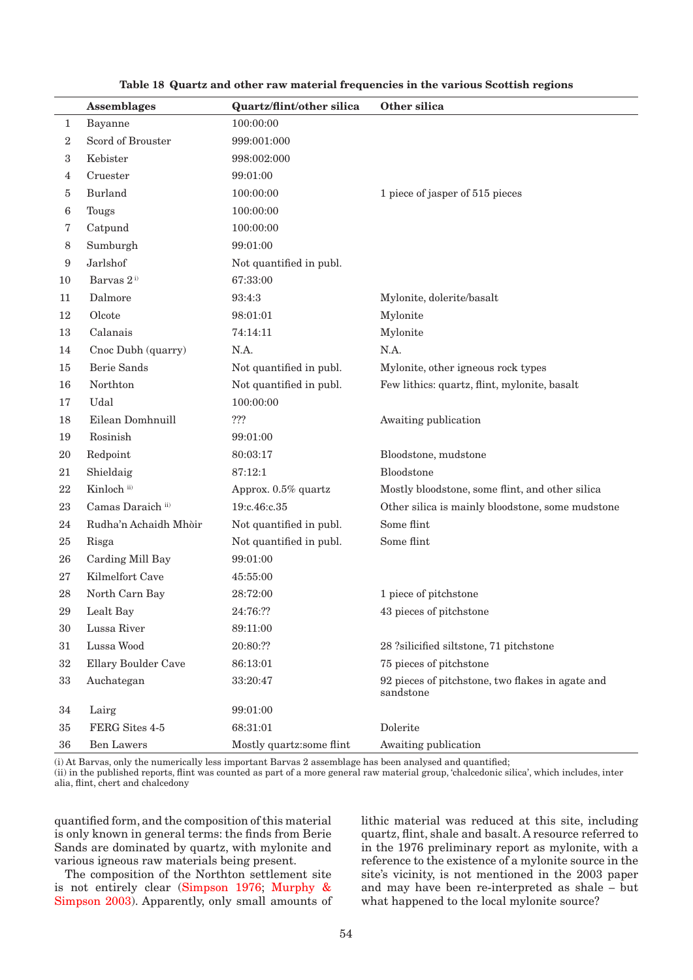<span id="page-1-0"></span>

|        | <b>Assemblages</b>     | <b>Quartz/flint/other silica</b> | Other silica                                                  |
|--------|------------------------|----------------------------------|---------------------------------------------------------------|
| 1      | Bayanne                | 100:00:00                        |                                                               |
| 2      | Scord of Brouster      | 999:001:000                      |                                                               |
| 3      | Kebister               | 998:002:000                      |                                                               |
| 4      | Cruester               | 99:01:00                         |                                                               |
| 5      | <b>Burland</b>         | 100:00:00                        | 1 piece of jasper of 515 pieces                               |
| 6      | Tougs                  | 100:00:00                        |                                                               |
| 7      | Catpund                | 100:00:00                        |                                                               |
| 8      | Sumburgh               | 99:01:00                         |                                                               |
| 9      | Jarlshof               | Not quantified in publ.          |                                                               |
| 10     | Barvas 2 <sup>i)</sup> | 67:33:00                         |                                                               |
| 11     | Dalmore                | 93:4:3                           | Mylonite, dolerite/basalt                                     |
| 12     | Olcote                 | 98:01:01                         | Mylonite                                                      |
| 13     | Calanais               | 74:14:11                         | Mylonite                                                      |
| 14     | Cnoc Dubh (quarry)     | N.A.                             | N.A.                                                          |
| 15     | Berie Sands            | Not quantified in publ.          | Mylonite, other igneous rock types                            |
| 16     | Northton               | Not quantified in publ.          | Few lithics: quartz, flint, mylonite, basalt                  |
| 17     | Udal                   | 100:00:00                        |                                                               |
| 18     | Eilean Domhnuill       | ???                              | Awaiting publication                                          |
| 19     | Rosinish               | 99:01:00                         |                                                               |
| 20     | Redpoint               | 80:03:17                         | Bloodstone, mudstone                                          |
| 21     | Shieldaig              | 87:12:1                          | Bloodstone                                                    |
| 22     | Kinloch ii)            | Approx. 0.5% quartz              | Mostly bloodstone, some flint, and other silica               |
| 23     | Camas Daraich ii)      | 19:c.46:c.35                     | Other silica is mainly bloodstone, some mudstone              |
| 24     | Rudha'n Achaidh Mhòir  | Not quantified in publ.          | Some flint                                                    |
| 25     | Risga                  | Not quantified in publ.          | Some flint                                                    |
| 26     | Carding Mill Bay       | 99:01:00                         |                                                               |
| 27     | Kilmelfort Cave        | 45:55:00                         |                                                               |
| 28     | North Carn Bay         | 28:72:00                         | 1 piece of pitchstone                                         |
| 29     | Lealt Bay              | 24:76:??                         | 43 pieces of pitchstone                                       |
| 30     | Lussa River            | 89:11:00                         |                                                               |
| 31     | Lussa Wood             | 20:80:??                         | 28 ?silicified siltstone, 71 pitchstone                       |
| 32     | Ellary Boulder Cave    | 86:13:01                         | 75 pieces of pitchstone                                       |
| 33     | Auchategan             | 33:20:47                         | 92 pieces of pitchstone, two flakes in agate and<br>sandstone |
| 34     | Lairg                  | 99:01:00                         |                                                               |
| 35     | FERG Sites 4-5         | 68:31:01                         | Dolerite                                                      |
| $36\,$ | Ben Lawers             | Mostly quartz:some flint         | Awaiting publication                                          |

#### **Table 18 Quartz and other raw material frequencies in the various Scottish regions**

(i) At Barvas, only the numerically less important Barvas 2 assemblage has been analysed and quantified;

(ii) in the published reports, flint was counted as part of a more general raw material group, 'chalcedonic silica', which includes, inter alia, flint, chert and chalcedony

quantified form, and the composition of this material is only known in general terms: the finds from Berie Sands are dominated by quartz, with mylonite and various igneous raw materials being present.

The composition of the Northton settlement site is not entirely clear [\(Simpson 1976;](#page-6-0) [Murphy &](#page-5-0)  [Simpson 2003\).](#page-5-0) Apparently, only small amounts of lithic material was reduced at this site, including quartz, flint, shale and basalt. A resource referred to in the 1976 preliminary report as mylonite, with a reference to the existence of a mylonite source in the site's vicinity, is not mentioned in the 2003 paper and may have been re-interpreted as shale – but what happened to the local mylonite source?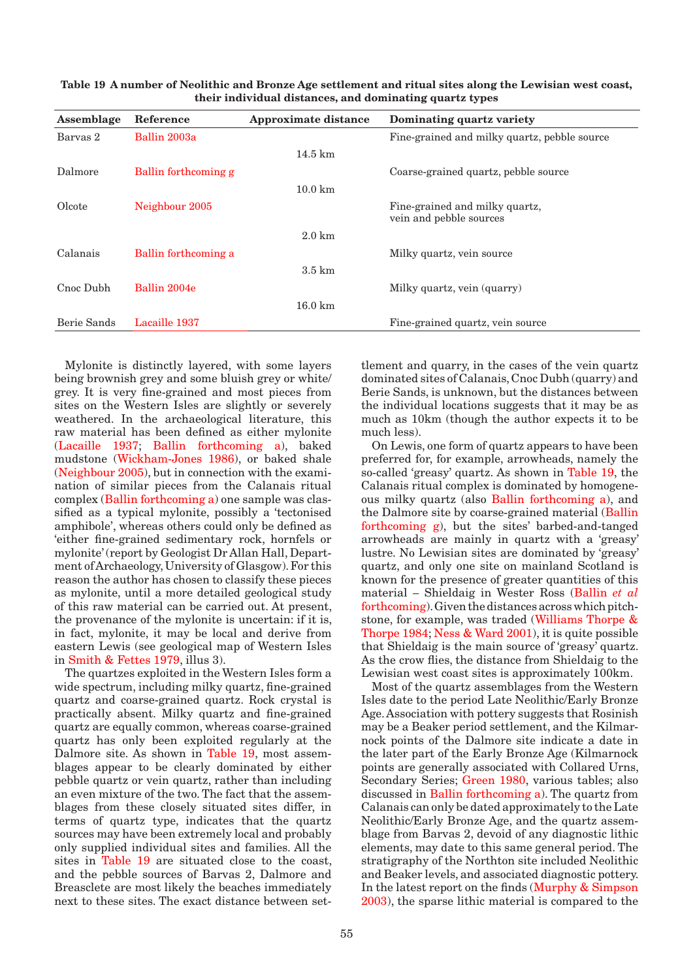| Assemblage  | Reference            | Approximate distance | Dominating quartz variety                                 |
|-------------|----------------------|----------------------|-----------------------------------------------------------|
| Barvas 2    | Ballin 2003a         |                      | Fine-grained and milky quartz, pebble source              |
|             |                      | $14.5 \text{ km}$    |                                                           |
| Dalmore     | Ballin forthcoming g |                      | Coarse-grained quartz, pebble source                      |
|             |                      | $10.0 \text{ km}$    |                                                           |
| Olcote      | Neighbour 2005       |                      | Fine-grained and milky quartz,<br>vein and pebble sources |
|             |                      | $2.0 \text{ km}$     |                                                           |
| Calanais    | Ballin forthcoming a |                      | Milky quartz, vein source                                 |
|             |                      | $3.5 \text{ km}$     |                                                           |
| Cnoc Dubh   | Ballin 2004e         |                      | Milky quartz, vein (quarry)                               |
|             |                      | $16.0 \text{ km}$    |                                                           |
| Berie Sands | Lacaille 1937        |                      | Fine-grained quartz, vein source                          |

<span id="page-2-0"></span>**Table 19 A number of Neolithic and Bronze Age settlement and ritual sites along the Lewisian west coast, their individual distances, and dominating quartz types**

Mylonite is distinctly layered, with some layers being brownish grey and some bluish grey or white/ grey. It is very fine-grained and most pieces from sites on the Western Isles are slightly or severely weathered. In the archaeological literature, this raw material has been defined as either mylonite [\(Lacaille 1937;](#page-4-0) [Ballin forthcoming a\),](#page-1-0) baked mudstone [\(Wickham-Jones 1986\),](#page-7-0) or baked shale [\(Neighbour 2005\),](#page-5-0) but in connection with the examination of similar pieces from the Calanais ritual comple[x \(Ballin forthcoming a\) o](#page-1-0)ne sample was classified as a typical mylonite, possibly a 'tectonised amphibole', whereas others could only be defined as 'either fine-grained sedimentary rock, hornfels or mylonite' (report by Geologist Dr Allan Hall, Department of Archaeology, University of Glasgow). For this reason the author has chosen to classify these pieces as mylonite, until a more detailed geological study of this raw material can be carried out. At present, the provenance of the mylonite is uncertain: if it is, in fact, mylonite, it may be local and derive from eastern Lewis (see geological map of Western Isles in [Smith & Fettes 1979, i](#page-6-0)llus 3).

The quartzes exploited in the Western Isles form a wide spectrum, including milky quartz, fine-grained quartz and coarse-grained quartz. Rock crystal is practically absent. Milky quartz and fine-grained quartz are equally common, whereas coarse-grained quartz has only been exploited regularly at the Dalmore site. As shown in Table 19, most assemblages appear to be clearly dominated by either pebble quartz or vein quartz, rather than including an even mixture of the two. The fact that the assemblages from these closely situated sites differ, in terms of quartz type, indicates that the quartz sources may have been extremely local and probably only supplied individual sites and families. All the sites in Table 19 are situated close to the coast, and the pebble sources of Barvas 2, Dalmore and Breasclete are most likely the beaches immediately next to these sites. The exact distance between settlement and quarry, in the cases of the vein quartz dominated sites of Calanais, Cnoc Dubh (quarry) and Berie Sands, is unknown, but the distances between the individual locations suggests that it may be as much as 10km (though the author expects it to be much less).

On Lewis, one form of quartz appears to have been preferred for, for example, arrowheads, namely the so-called 'greasy' quartz. As shown in Table 19, the Calanais ritual complex is dominated by homogeneous milky quartz (als[o Ballin forthcoming a\), and](#page-1-0)  the Dalmore site by coarse-grained material (Ballin [forthcoming g\),](#page-1-0) but the sites' barbed-and-tanged arrowheads are mainly in quartz with a 'greasy' lustre. No Lewisian sites are dominated by 'greasy' quartz, and only one site on mainland Scotland is known for the presence of greater quantities of this material – Shieldaig in Wester Ross [\(Ballin](#page-1-0) *et al* [forthcoming\). G](#page-1-0)iven the distances across which pitchstone, for example, was traded [\(Williams Thorpe &](#page-7-0)  [Thorpe 1984;](#page-7-0) [Ness & Ward 2001\),](#page-5-0) it is quite possible that Shieldaig is the main source of 'greasy' quartz. As the crow flies, the distance from Shieldaig to the Lewisian west coast sites is approximately 100km.

Most of the quartz assemblages from the Western Isles date to the period Late Neolithic/Early Bronze Age. Association with pottery suggests that Rosinish may be a Beaker period settlement, and the Kilmarnock points of the Dalmore site indicate a date in the later part of the Early Bronze Age (Kilmarnock points are generally associated with Collared Urns, Secondary Series[; Green 1980,](#page-3-0) various tables; also discussed in [Ballin forthcoming a\)](#page-1-0). The quartz from Calanais can only be dated approximately to the Late Neolithic/Early Bronze Age, and the quartz assemblage from Barvas 2, devoid of any diagnostic lithic elements, may date to this same general period. The stratigraphy of the Northton site included Neolithic and Beaker levels, and associated diagnostic pottery. In the latest report on the find[s \(Murphy & Simpson](#page-5-0)  [2003\), t](#page-5-0)he sparse lithic material is compared to the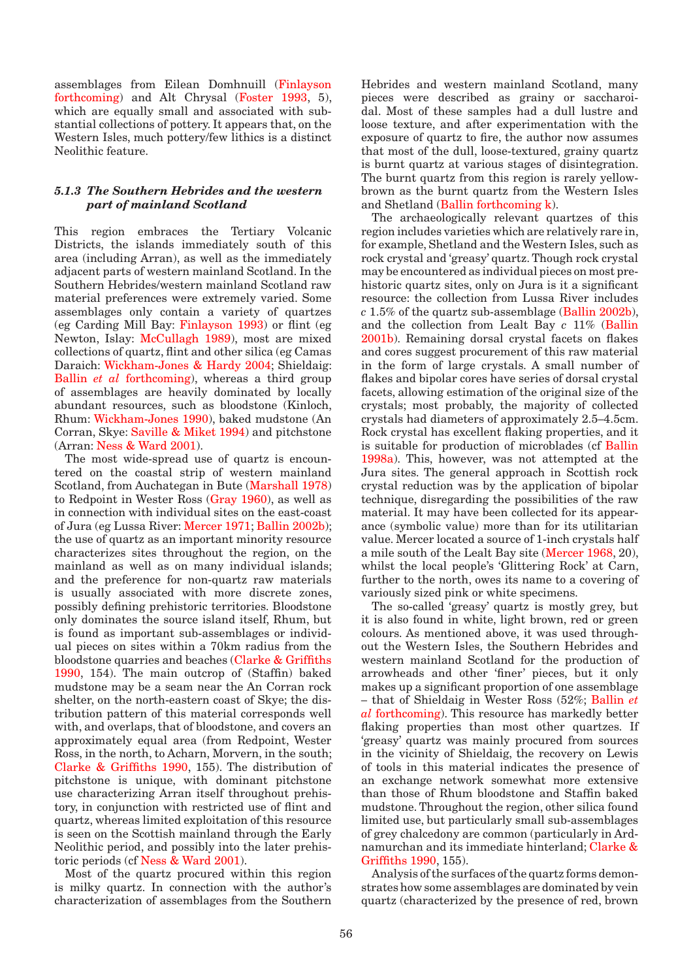<span id="page-3-0"></span>assemblages from Eilean Domhnuill (Finlayson forthcoming) and Alt Chrysal (Foster 1993, 5), which are equally small and associated with substantial collections of pottery. It appears that, on the Western Isles, much pottery/few lithics is a distinct Neolithic feature.

## *5.1.3 The Southern Hebrides and the western part of mainland Scotland*

This region embraces the Tertiary Volcanic Districts, the islands immediately south of this area (including Arran), as well as the immediately adjacent parts of western mainland Scotland. In the Southern Hebrides/western mainland Scotland raw material preferences were extremely varied. Some assemblages only contain a variety of quartzes (eg Carding Mill Bay: Finlayson 1993) or flint (eg Newton, Islay: [McCullagh 1989\),](#page-5-0) most are mixed collections of quartz, flint and other silica (eg Camas Daraich: [Wickham-Jones & Hardy 2004;](#page-7-0) Shieldaig: Ballin *et al* forthcoming), whereas a third group [of assemblages are heavily](#page-1-0) dominated by locally abundant resources, such as bloodstone (Kinloch, Rhu[m: Wickham-Jones 1990\), b](#page-7-0)aked mudstone (An Corran, Skye: [Saville & Miket 1994\) an](#page-6-0)d pitchstone (Arran: [Ness & Ward 2001\).](#page-6-0) 

The most wide-spread use of quartz is encountered on the coastal strip of western mainland Scotland, from Auchategan in But[e \(Marshall 1978\)](#page-5-0)  to Redpoint in Wester Ross (Gray 1960), as well as in connection with individual sites on the east-coast of Jura (eg Lussa Rive[r: Mercer 1971;](#page-5-0) [Ballin 2002b\);](#page-0-0)  the use of quartz as an important minority resource characterizes sites throughout the region, on the mainland as well as on many individual islands; and the preference for non-quartz raw materials is usually associated with more discrete zones, possibly defining prehistoric territories. Bloodstone only dominates the source island itself, Rhum, but is found as important sub-assemblages or individual pieces on sites within a 70km radius from the bloodstone quarries and beaches [\(Clarke & Griffiths](#page-2-0)  [1990,](#page-2-0) 154). The main outcrop of (Staffin) baked mudstone may be a seam near the An Corran rock shelter, on the north-eastern coast of Skye; the distribution pattern of this material corresponds well with, and overlaps, that of bloodstone, and covers an approximately equal area (from Redpoint, Wester Ross, in the north, to Acharn, Morvern, in the south; [Clarke & Griffiths 1990, 15](#page-2-0)5). The distribution of pitchstone is unique, with dominant pitchstone use characterizing Arran itself throughout prehistory, in conjunction with restricted use of flint and quartz, whereas limited exploitation of this resource is seen on the Scottish mainland through the Early Neolithic period, and possibly into the later prehistoric periods ([cf Ness & Ward 2001\).](#page-5-0)

Most of the quartz procured within this region is milky quartz. In connection with the author's characterization of assemblages from the Southern

Hebrides and western mainland Scotland, many pieces were described as grainy or saccharoidal. Most of these samples had a dull lustre and loose texture, and after experimentation with the exposure of quartz to fire, the author now assumes that most of the dull, loose-textured, grainy quartz is burnt quartz at various stages of disintegration. The burnt quartz from this region is rarely yellowbrown as the burnt quartz from the Western Isles and Shetla[nd \(Ballin forthcoming k\).](#page-1-0) 

The archaeologically relevant quartzes of this region includes varieties which are relatively rare in, for example, Shetland and the Western Isles, such as rock crystal and 'greasy' quartz. Though rock crystal may be encountered as individual pieces on most prehistoric quartz sites, only on Jura is it a significant resource: the collection from Lussa River includes *c* 1.5% of the quartz sub-assembla[ge \(Ballin 2002b\),](#page-0-0)  and the collection from Lealt Bay *c* 11% (Ballin [2001b\). R](#page-0-0)emaining dorsal crystal facets on flakes and cores suggest procurement of this raw material in the form of large crystals. A small number of flakes and bipolar cores have series of dorsal crystal facets, allowing estimation of the original size of the crystals; most probably, the majority of collected crystals had diameters of approximately 2.5–4.5cm. Rock crystal has excellent flaking properties, and it is suitable for production of microblades (c[f Ballin](#page-0-0)  [1998a\). T](#page-0-0)his, however, was not attempted at the Jura sites. The general approach in Scottish rock crystal reduction was by the application of bipolar technique, disregarding the possibilities of the raw material. It may have been collected for its appearance (symbolic value) more than for its utilitarian value. Mercer located a source of 1-inch crystals half a mile south of the Lealt Bay site [\(Mercer 1968,](#page-5-0) 20), whilst the local people's 'Glittering Rock' at Carn, further to the north, owes its name to a covering of variously sized pink or white specimens.

The so-called 'greasy' quartz is mostly grey, but it is also found in white, light brown, red or green colours. As mentioned above, it was used throughout the Western Isles, the Southern Hebrides and western mainland Scotland for the production of arrowheads and other 'finer' pieces, but it only makes up a significant proportion of one assemblage – that of Shieldaig in Wester Ross (52[%; Ballin](#page-1-0) *et al* [forthcoming\). Th](#page-1-0)is resource has markedly better flaking properties than most other quartzes. If 'greasy' quartz was mainly procured from sources in the vicinity of Shieldaig, the recovery on Lewis of tools in this material indicates the presence of an exchange network somewhat more extensive than those of Rhum bloodstone and Staffin baked mudstone. Throughout the region, other silica found limited use, but particularly small sub-assemblages of grey chalcedony are common (particularly in Ardnamurchan and its immediate hinterlan[d; Clarke &](#page-2-0)  [Griffiths 1990,](#page-2-0) 155).

Analysis of the surfaces of the quartz forms demonstrates how some assemblages are dominated by vein quartz (characterized by the presence of red, brown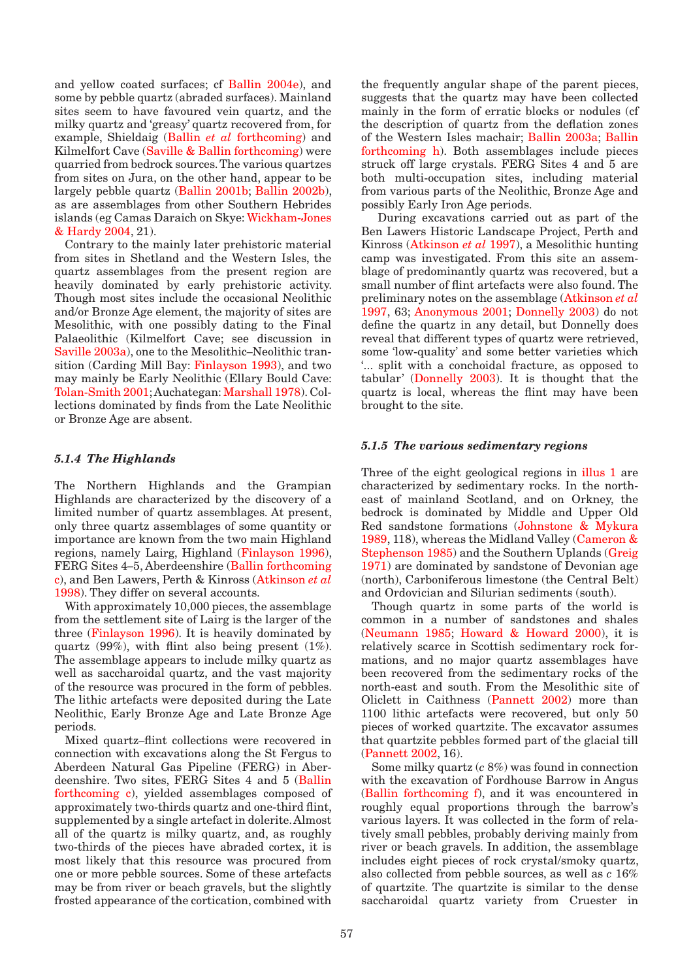<span id="page-4-0"></span>and yellow coated surfaces; c[f Ballin 2004e\), an](#page-1-0)d some by pebble quartz (abraded surfaces). Mainland sites seem to have favoured vein quartz, and the milky quartz and 'greasy' quartz recovered from, for example, Shieldaig (Ballin *et al* [forthcoming\) a](#page-1-0)nd Kilmelfort Cave [\(Saville & Ballin forthcoming\) w](#page-6-0)ere quarried from bedrock sources. The various quartzes from sites on Jura, on the other hand, appear to be largely pebble quartz [\(Ballin 2001b; Ballin 2002b\),](#page-0-0)  as are assemblages from other Southern Hebrides islands (eg Camas Daraich on Skye[: Wickham-Jones](#page-7-0)  [& Hardy 2004, 21](#page-7-0)).

Contrary to the mainly later prehistoric material from sites in Shetland and the Western Isles, the quartz assemblages from the present region are heavily dominated by early prehistoric activity. Though most sites include the occasional Neolithic and/or Bronze Age element, the majority of sites are Mesolithic, with one possibly dating to the Final Palaeolithic (Kilmelfort Cave; see discussion in [Saville 2003a\), o](#page-6-0)ne to the Mesolithic–Neolithic transition (Carding Mill Ba[y: Finlayson 1993\),](#page-3-0) and two may mainly be Early Neolithic (Ellary Bould Cave: [Tolan-Smith 2001; A](#page-7-0)uchategan[: Marshall 1978\).](#page-5-0) Collections dominated by finds from the Late Neolithic or Bronze Age are absent.

## *5.1.4 The Highlands*

The Northern Highlands and the Grampian Highlands are characterized by the discovery of a limited number of quartz assemblages. At present, only three quartz assemblages of some quantity or importance are known from the two main Highland regions, namely Lairg, Highlan[d \(Finlayson 1996\),](#page-3-0)  FERG Sites 4–5, Aberdeenshire [\(Ballin forthcoming](#page-1-0)  c), and Ben Lawers, Perth & Kinro[ss \(Atkinson](#page-0-0) *et al* [1998\).](#page-0-0) They differ on several accounts.

With approximately 10,000 pieces, the assemblage from the settlement site of Lairg is the larger of the thre[e \(Finlayson 1996\). I](#page-3-0)t is heavily dominated by quartz (99%), with flint also being present  $(1\%)$ . The assemblage appears to include milky quartz as well as saccharoidal quartz, and the vast majority of the resource was procured in the form of pebbles. The lithic artefacts were deposited during the Late Neolithic, Early Bronze Age and Late Bronze Age periods.

Mixed quartz–flint collections were recovered in connection with excavations along the St Fergus to Aberdeen Natural Gas Pipeline (FERG) in Aberdeenshire. Two sites, FERG Sites 4 and 5 [\(Ballin](#page-1-0)  [forthcoming c\), y](#page-1-0)ielded assemblages composed of approximately two-thirds quartz and one-third flint, supplemented by a single artefact in dolerite. Almost all of the quartz is milky quartz, and, as roughly two-thirds of the pieces have abraded cortex, it is most likely that this resource was procured from one or more pebble sources. Some of these artefacts may be from river or beach gravels, but the slightly frosted appearance of the cortication, combined with

the frequently angular shape of the parent pieces, suggests that the quartz may have been collected mainly in the form of erratic blocks or nodules (cf the description of quartz from the deflation zones of the Western Isles machair; [Ballin 2003a;](#page-0-0) [Ballin](#page-1-0)  [forthcoming h\).](#page-1-0) Both assemblages include pieces struck off large crystals. FERG Sites 4 and 5 are both multi-occupation sites, including material from various parts of the Neolithic, Bronze Age and possibly Early Iron Age periods.

 During excavations carried out as part of the Ben Lawers Historic Landscape Project, Perth and Kinross (Atkinson *et al* 1997), a Mesolithic hunting camp [was investigated. From](#page-0-0) this site an assemblage of predominantly quartz was recovered, but a small number of flint artefacts were also found. The preliminary notes on the assemblage [\(Atkinson](#page-0-0) *et al* [1997, 63; Anonymous 2001;](#page-0-0) [Donnelly 2003\)](#page-3-0) do not define the quartz in any detail, but Donnelly does reveal that different types of quartz were retrieved, some 'low-quality' and some better varieties which '... split with a conchoidal fracture, as opposed to tabular' (Donnelly 2003). It is thought that the quartz is local, whereas the flint may have been brought to the site.

#### *5.1.5 The various sedimentary regions*

Three of the eight geological regions in illus 1 are characterized by sedimentary rocks. In the northeast of mainland Scotland, and on Orkney, the bedrock is dominated by Middle and Upper Old Red sandstone formations (Johnstone & Mykura 1989, 118), whereas the Midland Valley [\(Cameron &](#page-2-0)  [Stephenson 1985\) a](#page-2-0)nd the Southern Uplands (Greig 1971) are dominated by sandstone of Devonian age (north), Carboniferous limestone (the Central Belt) and Ordovician and Silurian sediments (south).

Though quartz in some parts of the world is common in a number of sandstones and shales [\(Neumann 1985;](#page-5-0) Howard & Howard 2000), it is relatively scarce in Scottish sedimentary rock formations, and no major quartz assemblages have been recovered from the sedimentary rocks of the north-east and south. From the Mesolithic site of Oliclett in Caithness [\(Pannett 2002\)](#page-5-0) more than 1100 lithic artefacts were recovered, but only 50 pieces of worked quartzite. The excavator assumes that quartzite pebbles formed part of the glacial till [\(Pannett 2002, 1](#page-5-0)6).

Some milky quartz (*c* 8%) was found in connection with the excavation of Fordhouse Barrow in Angus [\(Ballin forthcoming f\), a](#page-1-0)nd it was encountered in roughly equal proportions through the barrow's various layers. It was collected in the form of relatively small pebbles, probably deriving mainly from river or beach gravels. In addition, the assemblage includes eight pieces of rock crystal/smoky quartz, also collected from pebble sources, as well as *c* 16% of quartzite. The quartzite is similar to the dense saccharoidal quartz variety from Cruester in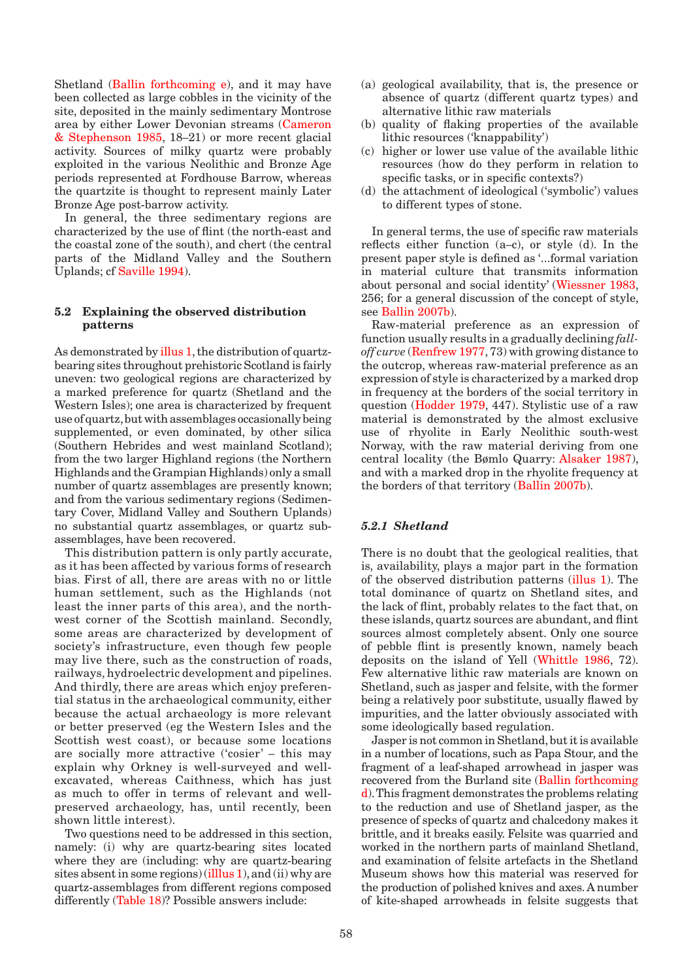<span id="page-5-0"></span>Shetland [\(Ballin forthcoming e\), a](#page-1-0)nd it may have been collected as large cobbles in the vicinity of the site, deposited in the mainly sedimentary Montrose area by either Lower Devonian streams [\(Cameron](#page-2-0)  [& Stephenson 1985, 1](#page-2-0)8–21) or more recent glacial activity. Sources of milky quartz were probably exploited in the various Neolithic and Bronze Age periods represented at Fordhouse Barrow, whereas the quartzite is thought to represent mainly Later Bronze Age post-barrow activity.

In general, the three sedimentary regions are characterized by the use of flint (the north-east and the coastal zone of the south), and chert (the central parts of the Midland Valley and the Southern Uplands; [cf Saville 1994\).](#page-6-0)

## **5.2 Explaining the observed distribution patterns**

As demonstrated [by illus 1, th](#page-4-0)e distribution of quartzbearing sites throughout prehistoric Scotland is fairly uneven: two geological regions are characterized by a marked preference for quartz (Shetland and the Western Isles); one area is characterized by frequent use of quartz, but with assemblages occasionally being supplemented, or even dominated, by other silica (Southern Hebrides and west mainland Scotland); from the two larger Highland regions (the Northern Highlands and the Grampian Highlands) only a small number of quartz assemblages are presently known; and from the various sedimentary regions (Sedimentary Cover, Midland Valley and Southern Uplands) no substantial quartz assemblages, or quartz subassemblages, have been recovered.

This distribution pattern is only partly accurate, as it has been affected by various forms of research bias. First of all, there are areas with no or little human settlement, such as the Highlands (not least the inner parts of this area), and the northwest corner of the Scottish mainland. Secondly, some areas are characterized by development of society's infrastructure, even though few people may live there, such as the construction of roads, railways, hydroelectric development and pipelines. And thirdly, there are areas which enjoy preferential status in the archaeological community, either because the actual archaeology is more relevant or better preserved (eg the Western Isles and the Scottish west coast), or because some locations are socially more attractive ('cosier' – this may explain why Orkney is well-surveyed and wellexcavated, whereas Caithness, which has just as much to offer in terms of relevant and wellpreserved archaeology, has, until recently, been shown little interest).

Two questions need to be addressed in this section, namely: (i) why are quartz-bearing sites located where they are (including: why are quartz-bearing sites absent in some regions[\) \(illlus 1\), a](#page-4-0)nd (ii) why are quartz-assemblages from different regions composed different[ly \(Table 18\)? Pos](#page-1-0)sible answers include:

- (a) geological availability, that is, the presence or absence of quartz (different quartz types) and alternative lithic raw materials
- (b) quality of flaking properties of the available lithic resources ('knappability')
- (c) higher or lower use value of the available lithic resources (how do they perform in relation to specific tasks, or in specific contexts?)
- (d) the attachment of ideological ('symbolic') values to different types of stone.

In general terms, the use of specific raw materials reflects either function (a–c), or style (d). In the present paper style is defined as '...formal variation in material culture that transmits information about personal and social identity[' \(Wiessner 1983,](#page-7-0)  256; for a general discussion of the concept of style, see Ballin 2007b).

[Raw-material prefe](#page-1-0)rence as an expression of function usually results in a gradually declining *falloff curve* [\(Renfrew 1977,](#page-6-0) 73) with growing distance to the outcrop, whereas raw-material preference as an expression of style is characterized by a marked drop in frequency at the borders of the social territory in questio[n \(Hodder 1979, 4](#page-4-0)47). Stylistic use of a raw material is demonstrated by the almost exclusive use of rhyolite in Early Neolithic south-west Norway, with the raw material deriving from one central locality (the Bømlo Quarr[y: Alsaker 1987\),](#page-0-0)  and with a marked drop in the rhyolite frequency at the borders of that territo[ry \(Ballin 2007b\).](#page-1-0)

### *5.2.1 Shetland*

There is no doubt that the geological realities, that is, availability, plays a major part in the formation of the observed distribution pattern[s \(illus 1\). T](#page-4-0)he total dominance of quartz on Shetland sites, and the lack of flint, probably relates to the fact that, on these islands, quartz sources are abundant, and flint sources almost completely absent. Only one source of pebble flint is presently known, namely beach deposits on the island of Y[ell \(Whittle 1986,](#page-7-0) 72). Few alternative lithic raw materials are known on Shetland, such as jasper and felsite, with the former being a relatively poor substitute, usually flawed by impurities, and the latter obviously associated with some ideologically based regulation.

Jasper is not common in Shetland, but it is available in a number of locations, such as Papa Stour, and the fragment of a leaf-shaped arrowhead in jasper was recovered from the Burland sit[e \(Ballin forthcoming](#page-1-0)  [d\). T](#page-1-0)his fragment demonstrates the problems relating to the reduction and use of Shetland jasper, as the presence of specks of quartz and chalcedony makes it brittle, and it breaks easily. Felsite was quarried and worked in the northern parts of mainland Shetland, and examination of felsite artefacts in the Shetland Museum shows how this material was reserved for the production of polished knives and axes. A number of kite-shaped arrowheads in felsite suggests that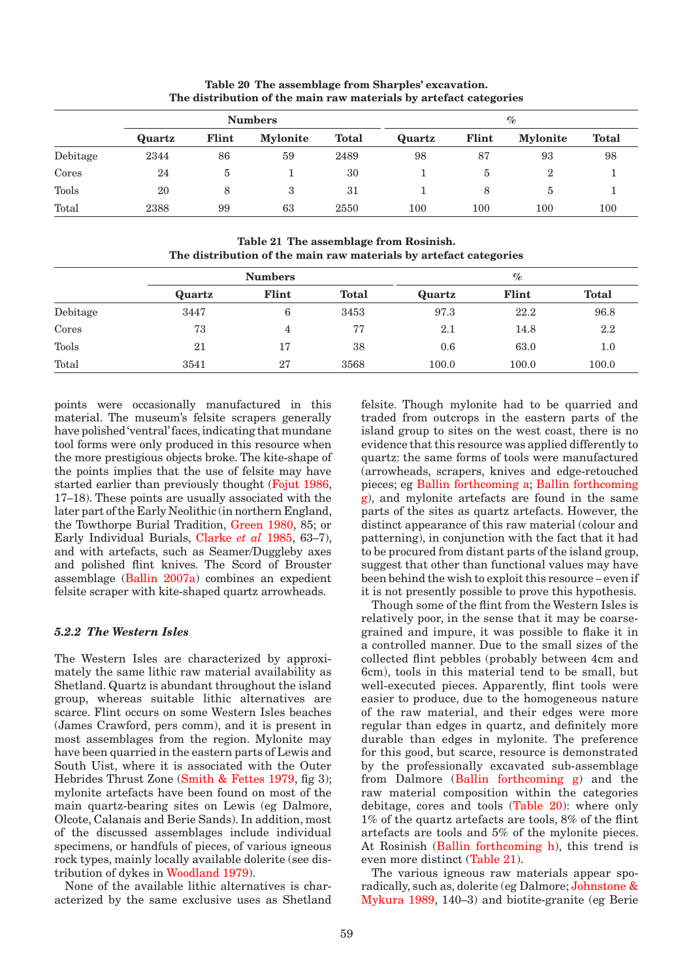<span id="page-6-0"></span>

|          |        | <b>Numbers</b> | $\%$            |              |         |         |                 |              |
|----------|--------|----------------|-----------------|--------------|---------|---------|-----------------|--------------|
|          | Quartz | Flint          | <b>Mylonite</b> | <b>Total</b> | Quartz  | Flint   | <b>Mylonite</b> | <b>Total</b> |
| Debitage | 2344   | 86             | 59              | 2489         | 98      | 87      | 93              | 98           |
| Cores    | 24     | b              |                 | 30           |         | 5       | $\overline{2}$  |              |
| Tools    | 20     | 8              | 3               | 31           |         | 8       | b               |              |
| Total    | 2388   | 99             | 63              | 2550         | $100\,$ | $100\,$ | 100             | 100          |

**Table 20 The assemblage from Sharples' excavation. The distribution of the main raw materials by artefact categories**

**Table 21 The assemblage from Rosinish. The distribution of the main raw materials by artefact categories**

|          |        | <b>Numbers</b> |              | $\%$   |       |              |  |
|----------|--------|----------------|--------------|--------|-------|--------------|--|
|          | Quartz | Flint          | <b>Total</b> | Quartz | Flint | <b>Total</b> |  |
| Debitage | 3447   | 6              | 3453         | 97.3   | 22.2  | 96.8         |  |
| Cores    | 73     | 4              | 77           | 2.1    | 14.8  | 2.2          |  |
| Tools    | 21     | 17             | 38           | 0.6    | 63.0  | 1.0          |  |
| Total    | 3541   | 27             | 3568         | 100.0  | 100.0 | 100.0        |  |

points were occasionally manufactured in this material. The museum's felsite scrapers generally have polished 'ventral' faces, indicating that mundane tool forms were only produced in this resource when the more prestigious objects broke. The kite-shape of the points implies that the use of felsite may have started earlier than previously thoug[ht \(Fojut 1986,](#page-3-0)  17–18). These points are usually associated with the later part of the Early Neolithic (in northern England, the Towthorpe Burial Tradition[, Green 1980,](#page-3-0) 85; or Early Individual Burials, [Clarke](#page-2-0) *et al* 1985, 63–7), and with artefacts, such as Seamer/Duggleby axes and polished flint knives. The Scord of Brouster assemblag[e \(Ballin 2007a\) c](#page-1-0)ombines an expedient felsite scraper with kite-shaped quartz arrowheads.

### *5.2.2 The Western Isles*

The Western Isles are characterized by approximately the same lithic raw material availability as Shetland. Quartz is abundant throughout the island group, whereas suitable lithic alternatives are scarce. Flint occurs on some Western Isles beaches (James Crawford, pers comm), and it is present in most assemblages from the region. Mylonite may have been quarried in the eastern parts of Lewis and South Uist, where it is associated with the Outer Hebrides Thrust Zone (Smith & Fettes 1979, fig 3); mylonite artefacts have been found on most of the main quartz-bearing sites on Lewis (eg Dalmore, Olcote, Calanais and Berie Sands). In addition, most of the discussed assemblages include individual specimens, or handfuls of pieces, of various igneous rock types, mainly locally available dolerite (see distribution of dykes i[n Woodland 1979\).](#page-7-0) 

None of the available lithic alternatives is characterized by the same exclusive uses as Shetland felsite. Though mylonite had to be quarried and traded from outcrops in the eastern parts of the island group to sites on the west coast, there is no evidence that this resource was applied differently to quartz: the same forms of tools were manufactured (arrowheads, scrapers, knives and edge-retouched pieces; eg Ballin forthcoming a; Ballin forthcoming [g\), and mylonite artefacts are found in the same](#page-1-0)  parts of the sites as quartz artefacts. However, the distinct appearance of this raw material (colour and patterning), in conjunction with the fact that it had to be procured from distant parts of the island group, suggest that other than functional values may have been behind the wish to exploit this resource – even if it is not presently possible to prove this hypothesis.

Though some of the flint from the Western Isles is relatively poor, in the sense that it may be coarsegrained and impure, it was possible to flake it in a controlled manner. Due to the small sizes of the collected flint pebbles (probably between 4cm and 6cm), tools in this material tend to be small, but well-executed pieces. Apparently, flint tools were easier to produce, due to the homogeneous nature of the raw material, and their edges were more regular than edges in quartz, and definitely more durable than edges in mylonite. The preference for this good, but scarce, resource is demonstrated by the professionally excavated sub-assemblage from Dalmore [\(Ballin forthcoming g\)](#page-1-0) and the raw material composition within the categories debitage, cores and tools (Table 20): where only 1% of the quartz artefacts are tools, 8% of the flint artefacts are tools and 5% of the mylonite pieces. At Rosinish [\(Ballin forthcoming h\),](#page-1-0) this trend is even more distinct (Table 21).

The various igneous raw materials appear sporadically, such as, dolerite (eg Dalmore[; Johnstone &](#page-4-0)  [Mykura 1989, 1](#page-4-0)40–3) and biotite-granite (eg Berie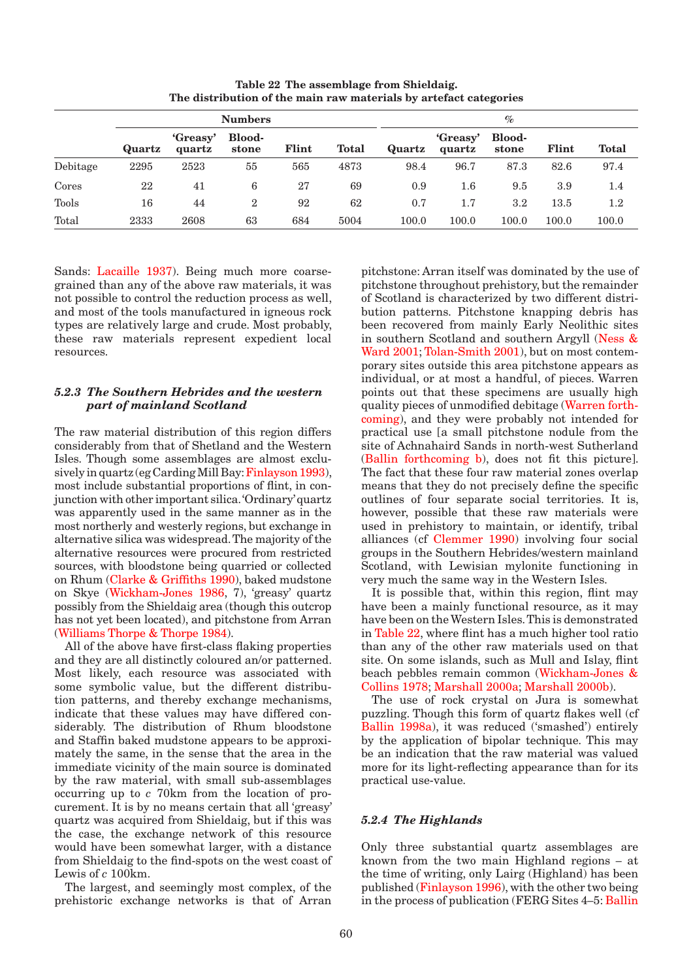<span id="page-7-0"></span>

|          | <b>Numbers</b> |                    |                        |       |       | $\%$   |                    |                        |       |              |
|----------|----------------|--------------------|------------------------|-------|-------|--------|--------------------|------------------------|-------|--------------|
|          | Quartz         | 'Greasy'<br>quartz | <b>Blood-</b><br>stone | Flint | Total | Quartz | 'Greasy'<br>quartz | <b>Blood-</b><br>stone | Flint | <b>Total</b> |
| Debitage | 2295           | 2523               | 55                     | 565   | 4873  | 98.4   | 96.7               | 87.3                   | 82.6  | 97.4         |
| Cores    | 22             | 41                 | 6                      | 27    | 69    | 0.9    | $1.6\,$            | 9.5                    | 3.9   | 1.4          |
| Tools    | 16             | 44                 | $\overline{2}$         | 92    | 62    | 0.7    | 1.7                | $3.2\,$                | 13.5  | $1.2\,$      |
| Total    | 2333           | 2608               | 63                     | 684   | 5004  | 100.0  | 100.0              | $100.0\,$              | 100.0 | $100.0\,$    |

**Table 22 The assemblage from Shieldaig. The distribution of the main raw materials by artefact categories**

Sands[: Lacaille 1937\). B](#page-4-0)eing much more coarsegrained than any of the above raw materials, it was not possible to control the reduction process as well, and most of the tools manufactured in igneous rock types are relatively large and crude. Most probably, these raw materials represent expedient local resources.

# *5.2.3 The Southern Hebrides and the western part of mainland Scotland*

The raw material distribution of this region differs considerably from that of Shetland and the Western Isles. Though some assemblages are almost exclusively in quartz (eg Carding Mill Ba[y: Finlayson 1993\),](#page-3-0)  most include substantial proportions of flint, in conjunction with other important silica. 'Ordinary' quartz was apparently used in the same manner as in the most northerly and westerly regions, but exchange in alternative silica was widespread. The majority of the alternative resources were procured from restricted sources, with bloodstone being quarried or collected on Rhu[m \(Clarke & Griffiths 1990\),](#page-2-0) baked mudstone on Skye (Wickham-Jones 1986, 7), 'greasy' quartz possibly from the Shieldaig area (though this outcrop has not yet been located), and pitchstone from Arran (Williams Thorpe & Thorpe 1984).

All of the above have first-class flaking properties and they are all distinctly coloured an/or patterned. Most likely, each resource was associated with some symbolic value, but the different distribution patterns, and thereby exchange mechanisms, indicate that these values may have differed considerably. The distribution of Rhum bloodstone and Staffin baked mudstone appears to be approximately the same, in the sense that the area in the immediate vicinity of the main source is dominated by the raw material, with small sub-assemblages occurring up to *c* 70km from the location of procurement. It is by no means certain that all 'greasy' quartz was acquired from Shieldaig, but if this was the case, the exchange network of this resource would have been somewhat larger, with a distance from Shieldaig to the find-spots on the west coast of Lewis of *c* 100km.

The largest, and seemingly most complex, of the prehistoric exchange networks is that of Arran pitchstone: Arran itself was dominated by the use of pitchstone throughout prehistory, but the remainder of Scotland is characterized by two different distribution patterns. Pitchstone knapping debris has been recovered from mainly Early Neolithic sites in southern Scotland and southern Argyl[l \(Ness &](#page-5-0)  [Ward 2001; T](#page-5-0)olan-Smith 2001), but on most contemporary sites outside this area pitchstone appears as individual, or at most a handful, of pieces. Warren points out that these specimens are usually high quality pieces of unmodified debitage (Warren forthcoming), and they were probably not intended for practical use [a small pitchstone nodule from the site of Achnahaird Sands in north-west Sutherland [\(Ballin forthcoming b\), d](#page-1-0)oes not fit this picture]. The fact that these four raw material zones overlap means that they do not precisely define the specific outlines of four separate social territories. It is, however, possible that these raw materials were used in prehistory to maintain, or identify, tribal alliances (c[f Clemmer 1990\)](#page-2-0) involving four social groups in the Southern Hebrides/western mainland Scotland, with Lewisian mylonite functioning in very much the same way in the Western Isles.

It is possible that, within this region, flint may have been a mainly functional resource, as it may have been on the Western Isles. This is demonstrated in Table 22, where flint has a much higher tool ratio than any of the other raw materials used on that site. On some islands, such as Mull and Islay, flint beach pebbles remain common (Wickham-Jones & Collins 1978; [Marshall 2000a; Marshall 2000b\).](#page-5-0)

The use of rock crystal on Jura is somewhat puzzling. Though this form of quartz flakes well (cf Ballin 1998a), it was reduced ('smashed') entirely by the application of bipolar technique. This may be an indication that the raw material was valued more for its light-reflecting appearance than for its practical use-value.

# *5.2.4 The Highlands*

Only three substantial quartz assemblages are known from the two main Highland regions – at the time of writing, only Lairg (Highland) has been publish[ed \(Finlayson 1996\),](#page-3-0) with the other two being in the process of publication (FERG Sites 4–[5: Ballin](#page-1-0)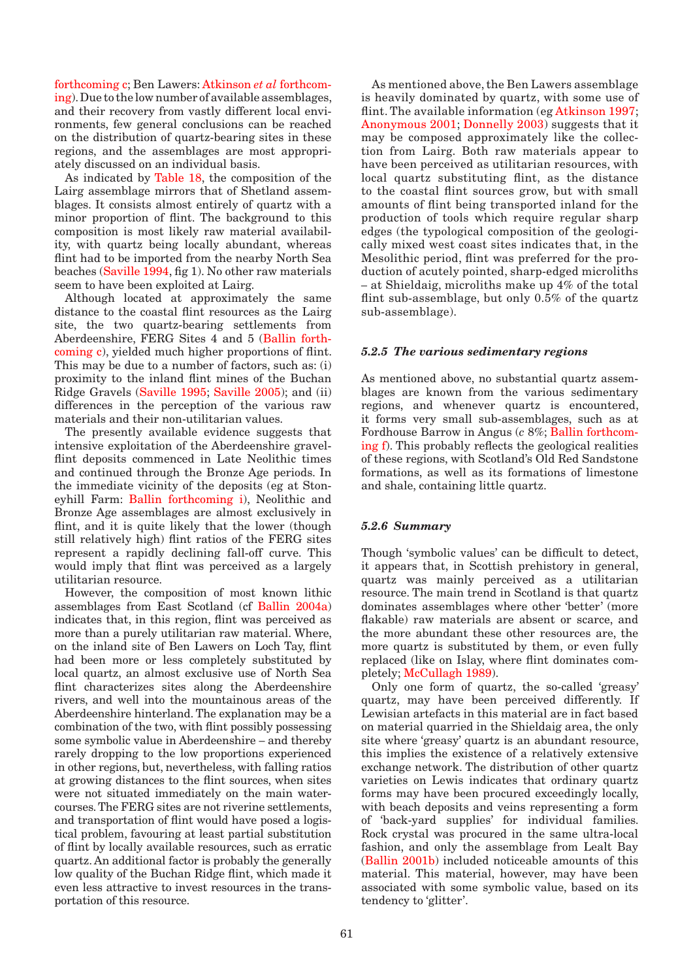[forthcoming c; B](#page-1-0)en Lawers: Atkinson *et al* forthcom[ing\).](#page-0-0) Due to the low number [of available assemblages,](#page-0-0)  and their recovery from vastly different local environments, few general conclusions can be reached on the distribution of quartz-bearing sites in these regions, and the assemblages are most appropriately discussed on an individual basis.

As indicated [by Table 18, th](#page-1-0)e composition of the Lairg assemblage mirrors that of Shetland assemblages. It consists almost entirely of quartz with a minor proportion of flint. The background to this composition is most likely raw material availability, with quartz being locally abundant, whereas flint had to be imported from the nearby North Sea beach[es \(Saville 1994,](#page-6-0) fig 1). No other raw materials seem to have been exploited at Lairg.

Although located at approximately the same distance to the coastal flint resources as the Lairg site, the two quartz-bearing settl[ements from](#page-1-0)  Aberdeenshire, FERG Sites 4 and 5 (Ballin forth[coming c\), y](#page-1-0)ielded much higher proportions of flint. This may be due to a number of factors, such as: (i) proximity to the inland flint mines of the Buchan Ridge Grave[ls \(Saville 1995; Saville 2005\); an](#page-6-0)d (ii) differences in the perception of the various raw materials and their non-utilitarian values.

The presently available evidence suggests that intensive exploitation of the Aberdeenshire gravelflint deposits commenced in Late Neolithic times and continued through the Bronze Age periods. In the immediate vicinity of the deposits (eg at Stoneyhill Farm: Ballin forthcoming i), Neolithic and Bronze Age assemblages are almost exclusively in flint, and it is quite likely that the lower (though still relatively high) flint ratios of the FERG sites represent a rapidly declining fall-off curve. This would imply that flint was perceived as a largely utilitarian resource.

However, the composition of most known lithic assemblages from East Scotland ([cf Ballin 2004a\)](#page-1-0)  indicates that, in this region, flint was perceived as more than a purely utilitarian raw material. Where, on the inland site of Ben Lawers on Loch Tay, flint had been more or less completely substituted by local quartz, an almost exclusive use of North Sea flint characterizes sites along the Aberdeenshire rivers, and well into the mountainous areas of the Aberdeenshire hinterland. The explanation may be a combination of the two, with flint possibly possessing some symbolic value in Aberdeenshire – and thereby rarely dropping to the low proportions experienced in other regions, but, nevertheless, with falling ratios at growing distances to the flint sources, when sites were not situated immediately on the main watercourses. The FERG sites are not riverine settlements, and transportation of flint would have posed a logistical problem, favouring at least partial substitution of flint by locally available resources, such as erratic quartz. An additional factor is probably the generally low quality of the Buchan Ridge flint, which made it even less attractive to invest resources in the transportation of this resource.

As mentioned above, the Ben Lawers assemblage is heavily dominated by quartz, with some use of flint. The available information ([eg Atkinson 1997;](#page-0-0) [Anonymous 2001;](#page-0-0) [Donnelly 2003\)](#page-3-0) suggests that it may be composed approximately like the collection from Lairg. Both raw materials appear to have been perceived as utilitarian resources, with local quartz substituting flint, as the distance to the coastal flint sources grow, but with small amounts of flint being transported inland for the production of tools which require regular sharp edges (the typological composition of the geologically mixed west coast sites indicates that, in the Mesolithic period, flint was preferred for the production of acutely pointed, sharp-edged microliths – at Shieldaig, microliths make up 4% of the total flint sub-assemblage, but only 0.5% of the quartz sub-assemblage).

### *5.2.5 The various sedimentary regions*

As mentioned above, no substantial quartz assemblages are known from the various sedimentary regions, and whenever quartz is encountered, it forms very small sub-assemblages, such as at Fordhouse Barrow in Angus (*c* [8%; Ballin forthcom](#page-1-0)[ing f\). T](#page-1-0)his probably reflects the geological realities of these regions, with Scotland's Old Red Sandstone formations, as well as its formations of limestone and shale, containing little quartz.

# *5.2.6 Summary*

Though 'symbolic values' can be difficult to detect, it appears that, in Scottish prehistory in general, quartz was mainly perceived as a utilitarian resource. The main trend in Scotland is that quartz dominates assemblages where other 'better' (more flakable) raw materials are absent or scarce, and the more abundant these other resources are, the more quartz is substituted by them, or even fully replaced (like on Islay, where flint dominates completel[y; McCullagh 1989\).](#page-5-0) 

Only one form of quartz, the so-called 'greasy' quartz, may have been perceived differently. If Lewisian artefacts in this material are in fact based on material quarried in the Shieldaig area, the only site where 'greasy' quartz is an abundant resource, this implies the existence of a relatively extensive exchange network. The distribution of other quartz varieties on Lewis indicates that ordinary quartz forms may have been procured exceedingly locally, with beach deposits and veins representing a form of 'back-yard supplies' for individual families. Rock crystal was procured in the same ultra-local fashion, and only the assemblage from Lealt Bay [\(Ballin 2001b\)](#page-0-0) included noticeable amounts of this material. This material, however, may have been associated with some symbolic value, based on its tendency to 'glitter'.